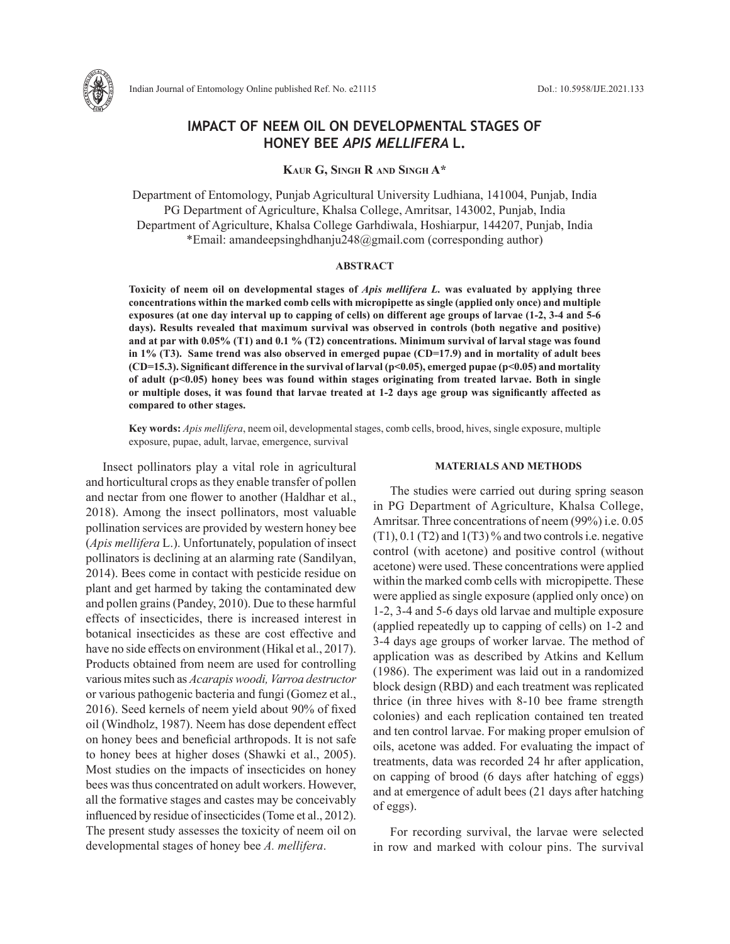

# **IMPACT OF NEEM OIL ON DEVELOPMENTAL STAGES OF HONEY BEE** *APIS MELLIFERA* **L.**

**Kaur G, Singh R and Singh A\***

Department of Entomology, Punjab Agricultural University Ludhiana, 141004, Punjab, India PG Department of Agriculture, Khalsa College, Amritsar, 143002, Punjab, India Department of Agriculture, Khalsa College Garhdiwala, Hoshiarpur, 144207, Punjab, India \*Email: amandeepsinghdhanju248@gmail.com (corresponding author)

### **ABSTRACT**

**Toxicity of neem oil on developmental stages of** *Apis mellifera L.* **was evaluated by applying three concentrations within the marked comb cells with micropipette as single (applied only once) and multiple exposures (at one day interval up to capping of cells) on different age groups of larvae (1-2, 3-4 and 5-6 days). Results revealed that maximum survival was observed in controls (both negative and positive) and at par with 0.05% (T1) and 0.1 % (T2) concentrations. Minimum survival of larval stage was found in 1% (T3). Same trend was also observed in emerged pupae (CD=17.9) and in mortality of adult bees (CD=15.3). Significant difference in the survival of larval (p<0.05), emerged pupae (p<0.05) and mortality of adult (p<0.05) honey bees was found within stages originating from treated larvae. Both in single or multiple doses, it was found that larvae treated at 1-2 days age group was significantly affected as compared to other stages.**

**Key words:** *Apis mellifera*, neem oil, developmental stages, comb cells, brood, hives, single exposure, multiple exposure, pupae, adult, larvae, emergence, survival

Insect pollinators play a vital role in agricultural and horticultural crops as they enable transfer of pollen and nectar from one flower to another (Haldhar et al., 2018). Among the insect pollinators, most valuable pollination services are provided by western honey bee (*Apis mellifera* L.). Unfortunately, population of insect pollinators is declining at an alarming rate (Sandilyan, 2014). Bees come in contact with pesticide residue on plant and get harmed by taking the contaminated dew and pollen grains (Pandey, 2010). Due to these harmful effects of insecticides, there is increased interest in botanical insecticides as these are cost effective and have no side effects on environment (Hikal et al., 2017). Products obtained from neem are used for controlling various mites such as *Acarapis woodi, Varroa destructor*  or various pathogenic bacteria and fungi (Gomez et al., 2016). Seed kernels of neem yield about 90% of fixed oil (Windholz, 1987). Neem has dose dependent effect on honey bees and beneficial arthropods. It is not safe to honey bees at higher doses (Shawki et al., 2005). Most studies on the impacts of insecticides on honey bees was thus concentrated on adult workers. However, all the formative stages and castes may be conceivably influenced by residue of insecticides (Tome et al., 2012). The present study assesses the toxicity of neem oil on developmental stages of honey bee *A. mellifera*.

### **MATERIALS AND METHODS**

The studies were carried out during spring season in PG Department of Agriculture, Khalsa College, Amritsar. Three concentrations of neem (99%) i.e. 0.05  $(T1)$ , 0.1  $(T2)$  and  $1(T3)$ % and two controls i.e. negative control (with acetone) and positive control (without acetone) were used. These concentrations were applied within the marked comb cells with micropipette. These were applied as single exposure (applied only once) on 1-2, 3-4 and 5-6 days old larvae and multiple exposure (applied repeatedly up to capping of cells) on 1-2 and 3-4 days age groups of worker larvae. The method of application was as described by Atkins and Kellum (1986). The experiment was laid out in a randomized block design (RBD) and each treatment was replicated thrice (in three hives with 8-10 bee frame strength colonies) and each replication contained ten treated and ten control larvae. For making proper emulsion of oils, acetone was added. For evaluating the impact of treatments, data was recorded 24 hr after application, on capping of brood (6 days after hatching of eggs) and at emergence of adult bees (21 days after hatching of eggs).

For recording survival, the larvae were selected in row and marked with colour pins. The survival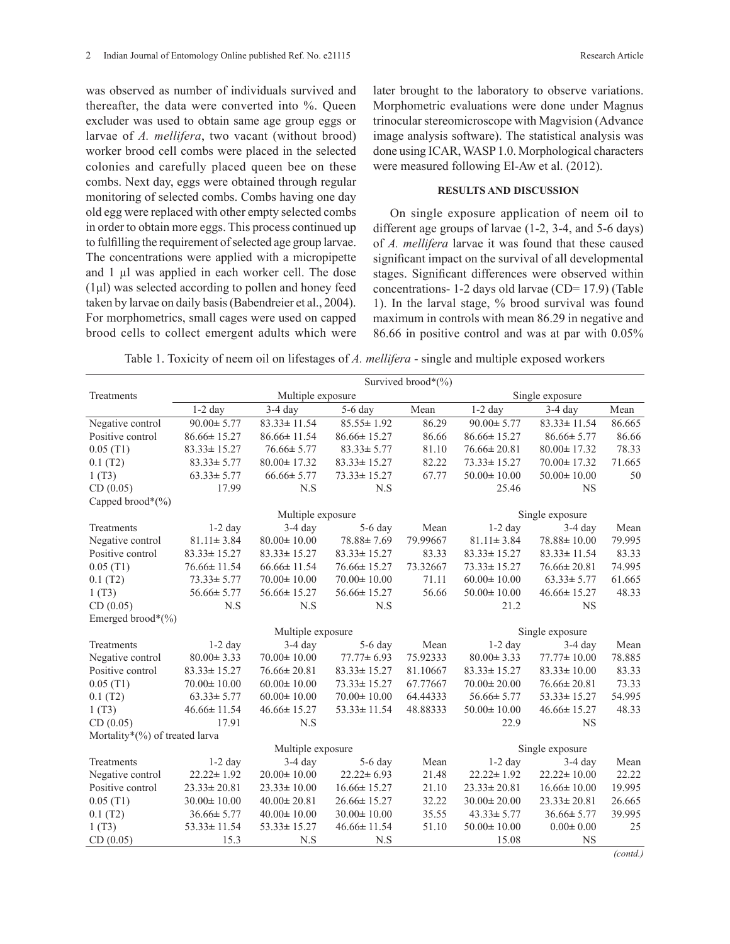was observed as number of individuals survived and thereafter, the data were converted into %. Queen excluder was used to obtain same age group eggs or larvae of *A. mellifera*, two vacant (without brood) worker brood cell combs were placed in the selected colonies and carefully placed queen bee on these combs. Next day, eggs were obtained through regular monitoring of selected combs. Combs having one day old egg were replaced with other empty selected combs in order to obtain more eggs. This process continued up to fulfilling the requirement of selected age group larvae. The concentrations were applied with a micropipette and 1 µl was applied in each worker cell. The dose (1μl) was selected according to pollen and honey feed taken by larvae on daily basis (Babendreier et al., 2004). For morphometrics, small cages were used on capped brood cells to collect emergent adults which were

later brought to the laboratory to observe variations. Morphometric evaluations were done under Magnus trinocular stereomicroscope with Magvision (Advance image analysis software). The statistical analysis was done using ICAR, WASP 1.0. Morphological characters were measured following El-Aw et al. (2012).

## **RESULTS AND DISCUSSION**

On single exposure application of neem oil to different age groups of larvae (1-2, 3-4, and 5-6 days) of *A. mellifera* larvae it was found that these caused significant impact on the survival of all developmental stages. Significant differences were observed within concentrations- 1-2 days old larvae (CD= 17.9) (Table 1). In the larval stage, % brood survival was found maximum in controls with mean 86.29 in negative and 86.66 in positive control and was at par with 0.05%

Table 1. Toxicity of neem oil on lifestages of *A. mellifera* - single and multiple exposed workers

|                                | Survived brood*(%) |                   |                            |                 |                   |                   |           |  |  |  |
|--------------------------------|--------------------|-------------------|----------------------------|-----------------|-------------------|-------------------|-----------|--|--|--|
| Treatments                     |                    | Multiple exposure | Single exposure            |                 |                   |                   |           |  |  |  |
|                                | $1-2$ day          | $3-4$ day         | 5-6 day                    | Mean            | $1-2$ day         | $3-4$ day         | Mean      |  |  |  |
| Negative control               | $90.00 \pm 5.77$   | $83.33 \pm 11.54$ | $85.55 \pm 1.92$           | 86.29           | $90.00 \pm 5.77$  | $83.33 \pm 11.54$ | 86.665    |  |  |  |
| Positive control               | $86.66 \pm 15.27$  | $86.66 \pm 11.54$ | $86.66 \pm 15.27$          | 86.66           | $86.66 \pm 15.27$ | $86.66 \pm 5.77$  | 86.66     |  |  |  |
| 0.05(T1)                       | $83.33 \pm 15.27$  | $76.66 \pm 5.77$  | $83.33 \pm 5.77$           | 81.10           | $76.66 \pm 20.81$ | $80.00 \pm 17.32$ | 78.33     |  |  |  |
| 0.1(T2)                        | $83.33 \pm 5.77$   | $80.00 \pm 17.32$ | 82.22<br>$83.33 \pm 15.27$ |                 | $73.33 \pm 15.27$ | $70.00 \pm 17.32$ | 71.665    |  |  |  |
| 1(T3)                          | $63.33 \pm 5.77$   | $66.66 \pm 5.77$  | $73.33 \pm 15.27$          | 67.77           | $50.00 \pm 10.00$ | $50.00 \pm 10.00$ | 50        |  |  |  |
| CD(0.05)                       | 17.99              | N.S               | N.S                        |                 | 25.46             | <b>NS</b>         |           |  |  |  |
| Capped brood*(%)               |                    |                   |                            |                 |                   |                   |           |  |  |  |
|                                |                    | Multiple exposure |                            |                 | Single exposure   |                   |           |  |  |  |
| Treatments                     | $1-2$ day          | $3-4$ day         | 5-6 day                    | Mean            | $1-2$ day         | $3-4$ day         | Mean      |  |  |  |
| Negative control               | $81.11 \pm 3.84$   | $80.00 \pm 10.00$ | 78.88±7.69                 | 79.99667        | $81.11 \pm 3.84$  | 78.88±10.00       | 79.995    |  |  |  |
| Positive control               | $83.33 \pm 15.27$  | $83.33 \pm 15.27$ | $83.33 \pm 15.27$          | 83.33           | $83.33 \pm 15.27$ | $83.33 \pm 11.54$ | 83.33     |  |  |  |
| 0.05(T1)                       | $76.66 \pm 11.54$  | $66.66 \pm 11.54$ | $76.66 \pm 15.27$          | 73.32667        | $73.33 \pm 15.27$ | $76.66 \pm 20.81$ | 74.995    |  |  |  |
| 0.1(T2)                        | $73.33 \pm 5.77$   | $70.00 \pm 10.00$ | $70.00 \pm 10.00$          | 71.11           | $60.00 \pm 10.00$ | $63.33 \pm 5.77$  | 61.665    |  |  |  |
| 1(T3)                          | $56.66 \pm 5.77$   | $56.66 \pm 15.27$ | $56.66 \pm 15.27$          | 56.66           | $50.00 \pm 10.00$ | $46.66 \pm 15.27$ | 48.33     |  |  |  |
| CD(0.05)                       | N.S                | N.S               | N.S                        |                 | 21.2              | <b>NS</b>         |           |  |  |  |
| Emerged brood $*(\%)$          |                    |                   |                            |                 |                   |                   |           |  |  |  |
|                                |                    | Multiple exposure |                            | Single exposure |                   |                   |           |  |  |  |
| Treatments                     | $1-2$ day          | $3-4$ day         | $5-6$ day                  | Mean            | $1-2$ day         | $3-4$ day         | Mean      |  |  |  |
| Negative control               | $80.00 \pm 3.33$   | $70.00 \pm 10.00$ | $77.77 \pm 6.93$           | 75.92333        | $80.00 \pm 3.33$  | 77.77±10.00       | 78.885    |  |  |  |
| Positive control               | $83.33 \pm 15.27$  | $76.66 \pm 20.81$ | $83.33 \pm 15.27$          | 81.10667        | $83.33 \pm 15.27$ | $83.33 \pm 10.00$ | 83.33     |  |  |  |
| 0.05(T1)                       | $70.00 \pm 10.00$  | $60.00 \pm 10.00$ | $73.33 \pm 15.27$          | 67.77667        | $70.00 \pm 20.00$ | $76.66 \pm 20.81$ | 73.33     |  |  |  |
| 0.1(T2)                        | $63.33 \pm 5.77$   | $60.00 \pm 10.00$ | $70.00 \pm 10.00$          | 64.44333        | $56.66 \pm 5.77$  | $53.33 \pm 15.27$ | 54.995    |  |  |  |
| 1(T3)                          | $46.66 \pm 11.54$  | $46.66 \pm 15.27$ | $53.33 \pm 11.54$          | 48.88333        | $50.00 \pm 10.00$ | $46.66 \pm 15.27$ | 48.33     |  |  |  |
| CD(0.05)                       | 17.91              | N.S               |                            |                 | 22.9              | <b>NS</b>         |           |  |  |  |
| Mortality*(%) of treated larva |                    |                   |                            |                 |                   |                   |           |  |  |  |
|                                |                    | Multiple exposure |                            |                 | Single exposure   |                   |           |  |  |  |
| Treatments                     | $1-2$ day          | $3-4$ day         | $5-6$ day                  | Mean            | $1-2$ day         | $3-4$ day         | Mean      |  |  |  |
| Negative control               | $22.22 \pm 1.92$   | $20.00 \pm 10.00$ | $22.22 \pm 6.93$           | 21.48           | $22.22 \pm 1.92$  | $22.22 \pm 10.00$ | 22.22     |  |  |  |
| Positive control               | $23.33 \pm 20.81$  | $23.33 \pm 10.00$ | $16.66 \pm 15.27$          | 21.10           | $23.33 \pm 20.81$ | $16.66 \pm 10.00$ | 19.995    |  |  |  |
| 0.05(T1)                       | $30.00 \pm 10.00$  | $40.00 \pm 20.81$ | $26.66 \pm 15.27$          | 32.22           | $30.00 \pm 20.00$ | $23.33 \pm 20.81$ | 26.665    |  |  |  |
| 0.1(T2)                        | $36.66 \pm 5.77$   | $40.00 \pm 10.00$ | $30.00 \pm 10.00$          | 35.55           | $43.33 \pm 5.77$  | $36.66 \pm 5.77$  | 39.995    |  |  |  |
| 1(T3)                          | $53.33 \pm 11.54$  | $53.33 \pm 15.27$ | $46.66 \pm 11.54$          | 51.10           | $50.00 \pm 10.00$ | $0.00 \pm 0.00$   | 25        |  |  |  |
| CD(0.05)                       | 15.3               | N.S               | N.S                        |                 | 15.08             | <b>NS</b>         | (1, 1, 1) |  |  |  |

*(contd.)*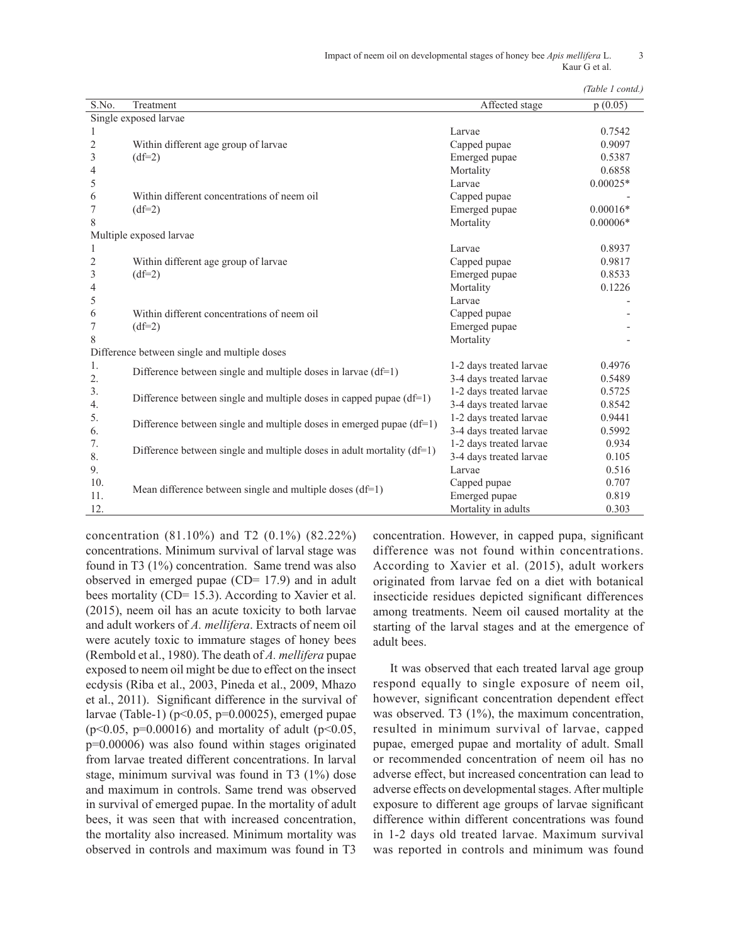|  | (Table 1 contd.) |
|--|------------------|

|                |                                                                          |                         | <i>(Table 1 conta)</i> |
|----------------|--------------------------------------------------------------------------|-------------------------|------------------------|
| S.No.          | Treatment                                                                | Affected stage          | p(0.05)                |
|                | Single exposed larvae                                                    |                         |                        |
|                |                                                                          | Larvae                  | 0.7542                 |
| $\overline{2}$ | Within different age group of larvae                                     | Capped pupae            | 0.9097                 |
| 3              | $(df=2)$                                                                 | Emerged pupae           | 0.5387                 |
| 4              |                                                                          | Mortality               | 0.6858                 |
| 5              |                                                                          | Larvae                  | $0.00025*$             |
| 6              | Within different concentrations of neem oil                              | Capped pupae            |                        |
| 7              | $(df=2)$                                                                 | Emerged pupae           | $0.00016*$             |
| 8              |                                                                          | Mortality               | $0.00006*$             |
|                | Multiple exposed larvae                                                  |                         |                        |
| 1              |                                                                          | Larvae                  | 0.8937                 |
| $\overline{2}$ | Within different age group of larvae                                     | Capped pupae            | 0.9817                 |
| 3              | $(df=2)$                                                                 | Emerged pupae           | 0.8533                 |
| 4              |                                                                          | Mortality               | 0.1226                 |
| 5              |                                                                          | Larvae                  |                        |
| 6              | Within different concentrations of neem oil                              | Capped pupae            |                        |
| 7              | $(df=2)$                                                                 | Emerged pupae           |                        |
| 8              |                                                                          | Mortality               |                        |
|                | Difference between single and multiple doses                             |                         |                        |
| 1.             | Difference between single and multiple doses in larvae $(df=1)$          | 1-2 days treated larvae | 0.4976                 |
| 2.             |                                                                          | 3-4 days treated larvae | 0.5489                 |
| 3.             | Difference between single and multiple doses in capped pupae $(df=1)$    | 1-2 days treated larvae | 0.5725                 |
| 4.             |                                                                          | 3-4 days treated larvae | 0.8542                 |
| 5.             | Difference between single and multiple doses in emerged pupae $(df=1)$   | 1-2 days treated larvae | 0.9441                 |
| 6.             |                                                                          | 3-4 days treated larvae | 0.5992                 |
| 7.             | Difference between single and multiple doses in adult mortality $(df=1)$ | 1-2 days treated larvae | 0.934                  |
| 8.             |                                                                          | 3-4 days treated larvae | 0.105                  |
| 9.             |                                                                          | Larvae                  | 0.516                  |
| 10.            | Mean difference between single and multiple doses $(df=1)$               | Capped pupae            | 0.707                  |
| 11.            |                                                                          | Emerged pupae           | 0.819                  |
| 12.            |                                                                          | Mortality in adults     | 0.303                  |

concentration (81.10%) and T2 (0.1%) (82.22%) concentrations. Minimum survival of larval stage was found in T3 (1%) concentration. Same trend was also observed in emerged pupae (CD= 17.9) and in adult bees mortality (CD= 15.3). According to Xavier et al. (2015), neem oil has an acute toxicity to both larvae and adult workers of *A. mellifera*. Extracts of neem oil were acutely toxic to immature stages of honey bees (Rembold et al., 1980). The death of *A. mellifera* pupae exposed to neem oil might be due to effect on the insect ecdysis (Riba et al., 2003, Pineda et al., 2009, Mhazo et al., 2011). Significant difference in the survival of larvae (Table-1) ( $p<0.05$ ,  $p=0.00025$ ), emerged pupae  $(p<0.05, p=0.00016)$  and mortality of adult  $(p<0.05,$ p=0.00006) was also found within stages originated from larvae treated different concentrations. In larval stage, minimum survival was found in T3 (1%) dose and maximum in controls. Same trend was observed in survival of emerged pupae. In the mortality of adult bees, it was seen that with increased concentration, the mortality also increased. Minimum mortality was observed in controls and maximum was found in T3

concentration. However, in capped pupa, significant difference was not found within concentrations. According to Xavier et al. (2015), adult workers originated from larvae fed on a diet with botanical insecticide residues depicted significant differences among treatments. Neem oil caused mortality at the starting of the larval stages and at the emergence of adult bees.

It was observed that each treated larval age group respond equally to single exposure of neem oil, however, significant concentration dependent effect was observed. T3 (1%), the maximum concentration, resulted in minimum survival of larvae, capped pupae, emerged pupae and mortality of adult. Small or recommended concentration of neem oil has no adverse effect, but increased concentration can lead to adverse effects on developmental stages. After multiple exposure to different age groups of larvae significant difference within different concentrations was found in 1-2 days old treated larvae. Maximum survival was reported in controls and minimum was found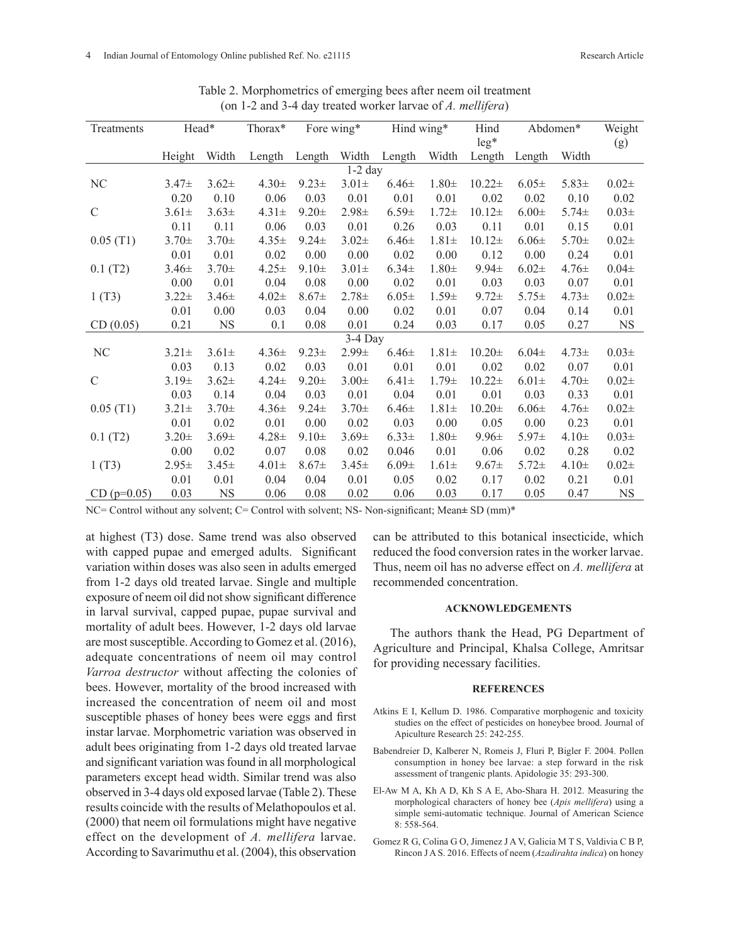| Treatments    | Head*      |            | Thorax*    | Fore wing* |            | Hind wing* |            | Hind             | Abdomen*   |            | Weight    |
|---------------|------------|------------|------------|------------|------------|------------|------------|------------------|------------|------------|-----------|
|               | Height     | Width      | Length     | Length     | Width      | Length     | Width      | $leg*$<br>Length | Length     | Width      | (g)       |
| $1-2$ day     |            |            |            |            |            |            |            |                  |            |            |           |
| NC            | $3.47 \pm$ | $3.62 \pm$ | $4.30 \pm$ | $9.23 \pm$ | $3.01 \pm$ | $6.46\pm$  | $1.80 \pm$ | $10.22 \pm$      | $6.05\pm$  | $5.83 \pm$ | $0.02\pm$ |
|               | 0.20       | 0.10       | 0.06       | 0.03       | 0.01       | 0.01       | 0.01       | 0.02             | 0.02       | 0.10       | 0.02      |
| $\mathcal{C}$ | $3.61 \pm$ | $3.63 \pm$ | $4.31 \pm$ | $9.20 \pm$ | $2.98 +$   | $6.59 \pm$ | $1.72 \pm$ | $10.12\pm$       | $6.00 \pm$ | $5.74 \pm$ | $0.03\pm$ |
|               | 0.11       | 0.11       | 0.06       | 0.03       | 0.01       | 0.26       | 0.03       | 0.11             | 0.01       | 0.15       | 0.01      |
| 0.05(T1)      | $3.70 \pm$ | $3.70 \pm$ | $4.35 \pm$ | $9.24 \pm$ | $3.02 +$   | $6.46 \pm$ | $1.81 \pm$ | $10.12+$         | $6.06 \pm$ | $5.70 \pm$ | $0.02\pm$ |
|               | 0.01       | 0.01       | 0.02       | 0.00       | 0.00       | 0.02       | 0.00       | 0.12             | 0.00       | 0.24       | 0.01      |
| 0.1(T2)       | $3.46 \pm$ | $3.70 \pm$ | $4.25 \pm$ | $9.10 \pm$ | $3.01 \pm$ | $6.34 \pm$ | $1.80 \pm$ | $9.94 \pm$       | $6.02\pm$  | $4.76\pm$  | $0.04\pm$ |
|               | 0.00       | 0.01       | 0.04       | 0.08       | 0.00       | 0.02       | 0.01       | 0.03             | 0.03       | 0.07       | 0.01      |
| 1(T3)         | $3.22 \pm$ | $3.46 \pm$ | $4.02\pm$  | $8.67\pm$  | $2.78 \pm$ | $6.05 \pm$ | $1.59 \pm$ | $9.72 \pm$       | $5.75 \pm$ | $4.73 \pm$ | $0.02\pm$ |
|               | 0.01       | 0.00       | 0.03       | 0.04       | 0.00       | 0.02       | 0.01       | 0.07             | 0.04       | 0.14       | 0.01      |
| CD(0.05)      | 0.21       | <b>NS</b>  | 0.1        | 0.08       | 0.01       | 0.24       | 0.03       | 0.17             | 0.05       | 0.27       | <b>NS</b> |
| $3-4$ Day     |            |            |            |            |            |            |            |                  |            |            |           |
| NC            | $3.21 \pm$ | $3.61 \pm$ | $4.36\pm$  | $9.23 \pm$ | $2.99 \pm$ | $6.46 \pm$ | $1.81 \pm$ | $10.20 \pm$      | $6.04 \pm$ | $4.73+$    | $0.03\pm$ |
|               | 0.03       | 0.13       | 0.02       | 0.03       | 0.01       | 0.01       | 0.01       | 0.02             | 0.02       | 0.07       | 0.01      |
| $\mathcal{C}$ | $3.19+$    | $3.62 \pm$ | $4.24 \pm$ | $9.20 \pm$ | $3.00 \pm$ | $6.41 \pm$ | $1.79 +$   | $10.22 \pm$      | $6.01 \pm$ | $4.70 \pm$ | $0.02 +$  |
|               | 0.03       | 0.14       | 0.04       | 0.03       | 0.01       | 0.04       | 0.01       | 0.01             | 0.03       | 0.33       | 0.01      |
| 0.05(T1)      | $3.21 \pm$ | $3.70 \pm$ | $4.36\pm$  | $9.24 \pm$ | $3.70 \pm$ | $6.46 \pm$ | $1.81 \pm$ | $10.20 \pm$      | $6.06\pm$  | $4.76 \pm$ | $0.02 +$  |
|               | 0.01       | 0.02       | 0.01       | 0.00       | 0.02       | 0.03       | 0.00       | 0.05             | 0.00       | 0.23       | 0.01      |
| 0.1(T2)       | $3.20 \pm$ | $3.69 \pm$ | $4.28 \pm$ | $9.10 \pm$ | $3.69 \pm$ | $6.33 \pm$ | $1.80 \pm$ | $9.96 \pm$       | $5.97\pm$  | $4.10+$    | $0.03\pm$ |
|               | 0.00       | 0.02       | 0.07       | 0.08       | 0.02       | 0.046      | 0.01       | 0.06             | 0.02       | 0.28       | 0.02      |
| 1(T3)         | $2.95 \pm$ | $3.45 \pm$ | $4.01 \pm$ | $8.67\pm$  | $3.45 \pm$ | $6.09 \pm$ | $1.61 \pm$ | $9.67 \pm$       | $5.72 +$   | $4.10+$    | $0.02\pm$ |
|               | 0.01       | 0.01       | 0.04       | 0.04       | 0.01       | 0.05       | 0.02       | 0.17             | 0.02       | 0.21       | 0.01      |
| $CD$ (p=0.05) | 0.03       | <b>NS</b>  | 0.06       | 0.08       | 0.02       | 0.06       | 0.03       | 0.17             | 0.05       | 0.47       | <b>NS</b> |

Table 2. Morphometrics of emerging bees after neem oil treatment (on 1-2 and 3-4 day treated worker larvae of *A. mellifera*)

NC= Control without any solvent; C= Control with solvent; NS- Non-significant; Mean**±** SD (mm)\*

at highest (T3) dose. Same trend was also observed with capped pupae and emerged adults. Significant variation within doses was also seen in adults emerged from 1-2 days old treated larvae. Single and multiple exposure of neem oil did not show significant difference in larval survival, capped pupae, pupae survival and mortality of adult bees. However, 1-2 days old larvae are most susceptible. According to Gomez et al. (2016), adequate concentrations of neem oil may control *Varroa destructor* without affecting the colonies of bees. However, mortality of the brood increased with increased the concentration of neem oil and most susceptible phases of honey bees were eggs and first instar larvae. Morphometric variation was observed in adult bees originating from 1-2 days old treated larvae and significant variation was found in all morphological parameters except head width. Similar trend was also observed in 3-4 days old exposed larvae (Table 2). These results coincide with the results of Melathopoulos et al. (2000) that neem oil formulations might have negative effect on the development of *A. mellifera* larvae. According to Savarimuthu et al. (2004), this observation

can be attributed to this botanical insecticide, which reduced the food conversion rates in the worker larvae. Thus, neem oil has no adverse effect on *A. mellifera* at recommended concentration.

### **ACKNOWLEDGEMENTS**

The authors thank the Head, PG Department of Agriculture and Principal, Khalsa College, Amritsar for providing necessary facilities.

### **REFERENCES**

- Atkins E I, Kellum D. 1986. Comparative morphogenic and toxicity studies on the effect of pesticides on honeybee brood. Journal of Apiculture Research 25: 242-255.
- Babendreier D, Kalberer N, Romeis J, Fluri P, Bigler F. 2004. Pollen consumption in honey bee larvae: a step forward in the risk assessment of trangenic plants. Apidologie 35: 293-300.
- El-Aw M A, Kh A D, Kh S A E, Abo-Shara H. 2012. Measuring the morphological characters of honey bee (*Apis mellifera*) using a simple semi-automatic technique. Journal of American Science 8: 558-564.
- Gomez R G, Colina G O, Jimenez J A V, Galicia M T S, Valdivia C B P, Rincon J A S. 2016. Effects of neem (*Azadirahta indica*) on honey